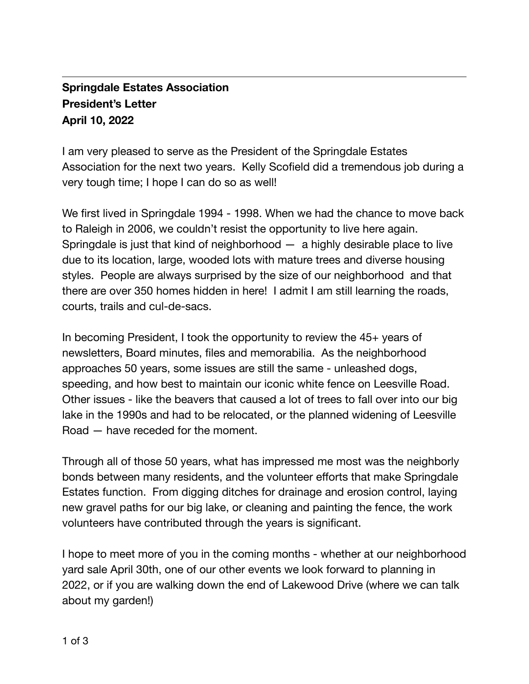## **Springdale Estates Association President's Letter April 10, 2022**

I am very pleased to serve as the President of the Springdale Estates Association for the next two years. Kelly Scofield did a tremendous job during a very tough time; I hope I can do so as well!

We first lived in Springdale 1994 - 1998. When we had the chance to move back to Raleigh in 2006, we couldn't resist the opportunity to live here again. Springdale is just that kind of neighborhood  $-$  a highly desirable place to live due to its location, large, wooded lots with mature trees and diverse housing styles. People are always surprised by the size of our neighborhood and that there are over 350 homes hidden in here! I admit I am still learning the roads, courts, trails and cul-de-sacs.

In becoming President, I took the opportunity to review the 45+ years of newsletters, Board minutes, files and memorabilia. As the neighborhood approaches 50 years, some issues are still the same - unleashed dogs, speeding, and how best to maintain our iconic white fence on Leesville Road. Other issues - like the beavers that caused a lot of trees to fall over into our big lake in the 1990s and had to be relocated, or the planned widening of Leesville Road — have receded for the moment.

Through all of those 50 years, what has impressed me most was the neighborly bonds between many residents, and the volunteer efforts that make Springdale Estates function. From digging ditches for drainage and erosion control, laying new gravel paths for our big lake, or cleaning and painting the fence, the work volunteers have contributed through the years is significant.

I hope to meet more of you in the coming months - whether at our neighborhood yard sale April 30th, one of our other events we look forward to planning in 2022, or if you are walking down the end of Lakewood Drive (where we can talk about my garden!)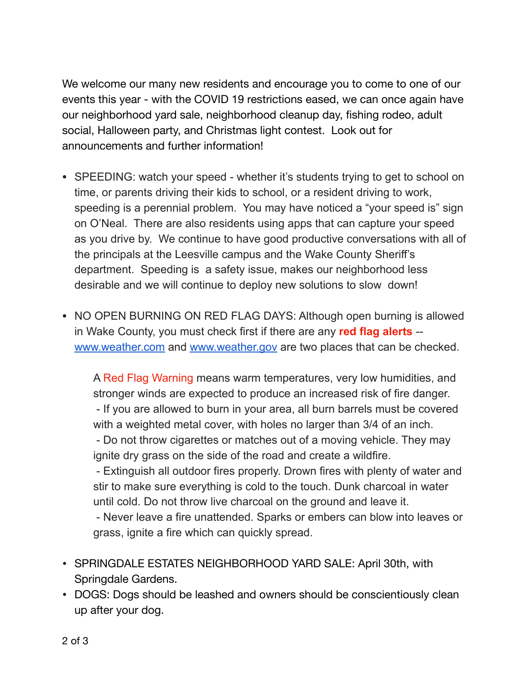We welcome our many new residents and encourage you to come to one of our events this year - with the COVID 19 restrictions eased, we can once again have our neighborhood yard sale, neighborhood cleanup day, fishing rodeo, adult social, Halloween party, and Christmas light contest. Look out for announcements and further information!

- SPEEDING: watch your speed whether it's students trying to get to school on time, or parents driving their kids to school, or a resident driving to work, speeding is a perennial problem. You may have noticed a "your speed is" sign on O'Neal. There are also residents using apps that can capture your speed as you drive by. We continue to have good productive conversations with all of the principals at the Leesville campus and the Wake County Sheriff's department. Speeding is a safety issue, makes our neighborhood less desirable and we will continue to deploy new solutions to slow down!
- NO OPEN BURNING ON RED FLAG DAYS: Although open burning is allowed in Wake County, you must check first if there are any **red flag alerts** - [www.weather.com](http://www.weather.com/) and [www.weather.gov](http://www.weather.gov/) are two places that can be checked.

A Red Flag Warning means warm temperatures, very low humidities, and stronger winds are expected to produce an increased risk of fire danger. - If you are allowed to burn in your area, all burn barrels must be covered with a weighted metal cover, with holes no larger than 3/4 of an inch.

 - Do not throw cigarettes or matches out of a moving vehicle. They may ignite dry grass on the side of the road and create a wildfire.

 - Extinguish all outdoor fires properly. Drown fires with plenty of water and stir to make sure everything is cold to the touch. Dunk charcoal in water until cold. Do not throw live charcoal on the ground and leave it.

 - Never leave a fire unattended. Sparks or embers can blow into leaves or grass, ignite a fire which can quickly spread.

- SPRINGDALE ESTATES NEIGHBORHOOD YARD SALE: April 30th, with Springdale Gardens.
- DOGS: Dogs should be leashed and owners should be conscientiously clean up after your dog.